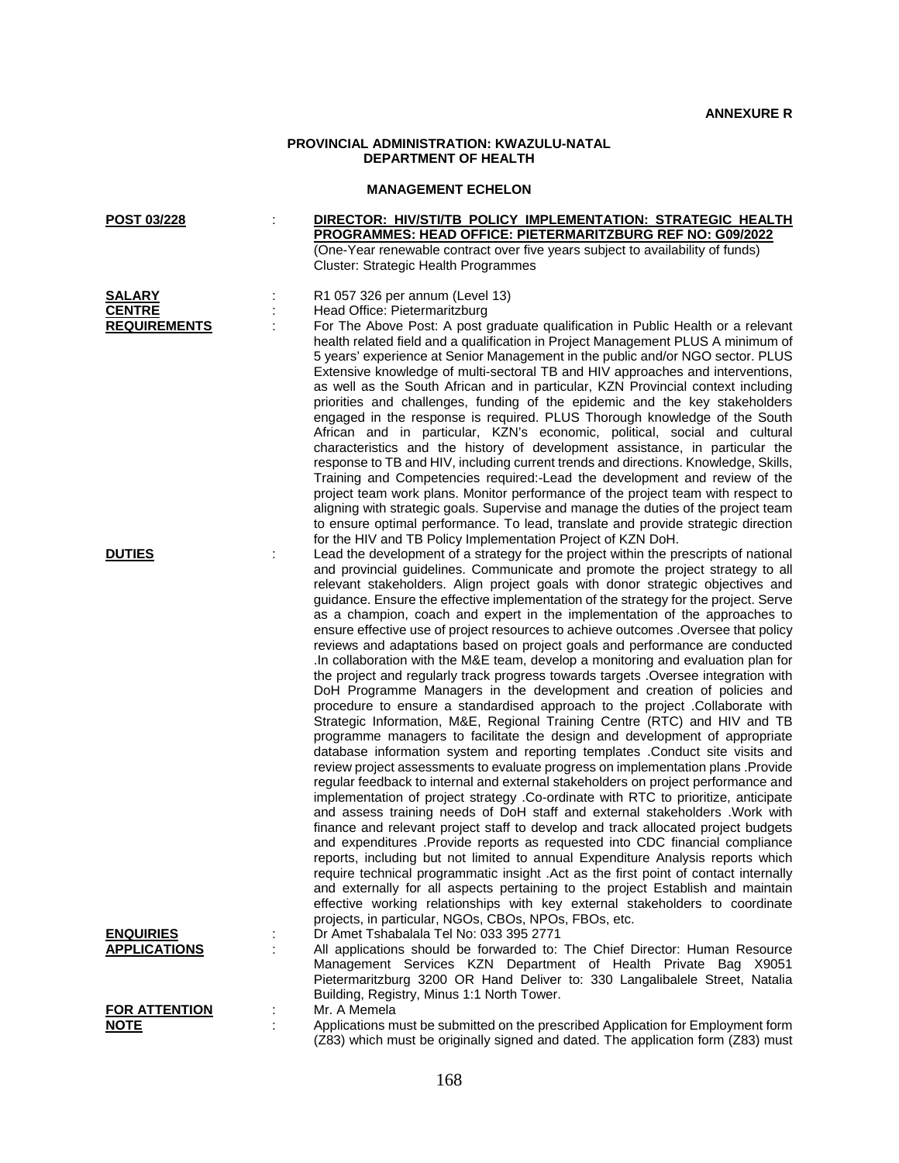## **PROVINCIAL ADMINISTRATION: KWAZULU-NATAL DEPARTMENT OF HEALTH**

## **MANAGEMENT ECHELON**

| POST 03/228                                           |   | DIRECTOR: HIV/STI/TB POLICY IMPLEMENTATION: STRATEGIC HEALTH<br>PROGRAMMES: HEAD OFFICE: PIETERMARITZBURG REF NO: G09/2022<br>(One-Year renewable contract over five years subject to availability of funds)<br>Cluster: Strategic Health Programmes                                                                                                                                                                                                                                                                                                                                                                                                                                                                                                                                                                                                                                                                                                                                                                                                                                                                                                                                                                                                                                                                                                                                                                                                                                                                                                                                                      |
|-------------------------------------------------------|---|-----------------------------------------------------------------------------------------------------------------------------------------------------------------------------------------------------------------------------------------------------------------------------------------------------------------------------------------------------------------------------------------------------------------------------------------------------------------------------------------------------------------------------------------------------------------------------------------------------------------------------------------------------------------------------------------------------------------------------------------------------------------------------------------------------------------------------------------------------------------------------------------------------------------------------------------------------------------------------------------------------------------------------------------------------------------------------------------------------------------------------------------------------------------------------------------------------------------------------------------------------------------------------------------------------------------------------------------------------------------------------------------------------------------------------------------------------------------------------------------------------------------------------------------------------------------------------------------------------------|
| <b>SALARY</b><br><b>CENTRE</b><br><b>REQUIREMENTS</b> |   | R1 057 326 per annum (Level 13)<br>Head Office: Pietermaritzburg<br>For The Above Post: A post graduate qualification in Public Health or a relevant<br>health related field and a qualification in Project Management PLUS A minimum of<br>5 years' experience at Senior Management in the public and/or NGO sector. PLUS<br>Extensive knowledge of multi-sectoral TB and HIV approaches and interventions,<br>as well as the South African and in particular, KZN Provincial context including<br>priorities and challenges, funding of the epidemic and the key stakeholders<br>engaged in the response is required. PLUS Thorough knowledge of the South<br>African and in particular, KZN's economic, political, social and cultural<br>characteristics and the history of development assistance, in particular the<br>response to TB and HIV, including current trends and directions. Knowledge, Skills,<br>Training and Competencies required:-Lead the development and review of the<br>project team work plans. Monitor performance of the project team with respect to<br>aligning with strategic goals. Supervise and manage the duties of the project team                                                                                                                                                                                                                                                                                                                                                                                                                                  |
| <b>DUTIES</b>                                         | ÷ | to ensure optimal performance. To lead, translate and provide strategic direction<br>for the HIV and TB Policy Implementation Project of KZN DoH.<br>Lead the development of a strategy for the project within the prescripts of national<br>and provincial guidelines. Communicate and promote the project strategy to all<br>relevant stakeholders. Align project goals with donor strategic objectives and<br>guidance. Ensure the effective implementation of the strategy for the project. Serve<br>as a champion, coach and expert in the implementation of the approaches to<br>ensure effective use of project resources to achieve outcomes . Oversee that policy<br>reviews and adaptations based on project goals and performance are conducted<br>In collaboration with the M&E team, develop a monitoring and evaluation plan for<br>the project and regularly track progress towards targets . Oversee integration with<br>DoH Programme Managers in the development and creation of policies and<br>procedure to ensure a standardised approach to the project .Collaborate with<br>Strategic Information, M&E, Regional Training Centre (RTC) and HIV and TB<br>programme managers to facilitate the design and development of appropriate<br>database information system and reporting templates .Conduct site visits and<br>review project assessments to evaluate progress on implementation plans .Provide<br>regular feedback to internal and external stakeholders on project performance and<br>implementation of project strategy .Co-ordinate with RTC to prioritize, anticipate |
| <b>ENQUIRIES</b><br><b>APPLICATIONS</b>               |   | and assess training needs of DoH staff and external stakeholders . Work with<br>finance and relevant project staff to develop and track allocated project budgets<br>and expenditures .Provide reports as requested into CDC financial compliance<br>reports, including but not limited to annual Expenditure Analysis reports which<br>require technical programmatic insight .Act as the first point of contact internally<br>and externally for all aspects pertaining to the project Establish and maintain<br>effective working relationships with key external stakeholders to coordinate<br>projects, in particular, NGOs, CBOs, NPOs, FBOs, etc.<br>Dr Amet Tshabalala Tel No: 033 395 2771<br>All applications should be forwarded to: The Chief Director: Human Resource<br>Management Services KZN Department of Health Private Bag X9051                                                                                                                                                                                                                                                                                                                                                                                                                                                                                                                                                                                                                                                                                                                                                      |
| <b>FOR ATTENTION</b><br><b>NOTE</b>                   |   | Pietermaritzburg 3200 OR Hand Deliver to: 330 Langalibalele Street, Natalia<br>Building, Registry, Minus 1:1 North Tower.<br>Mr. A Memela<br>Applications must be submitted on the prescribed Application for Employment form<br>(Z83) which must be originally signed and dated. The application form (Z83) must                                                                                                                                                                                                                                                                                                                                                                                                                                                                                                                                                                                                                                                                                                                                                                                                                                                                                                                                                                                                                                                                                                                                                                                                                                                                                         |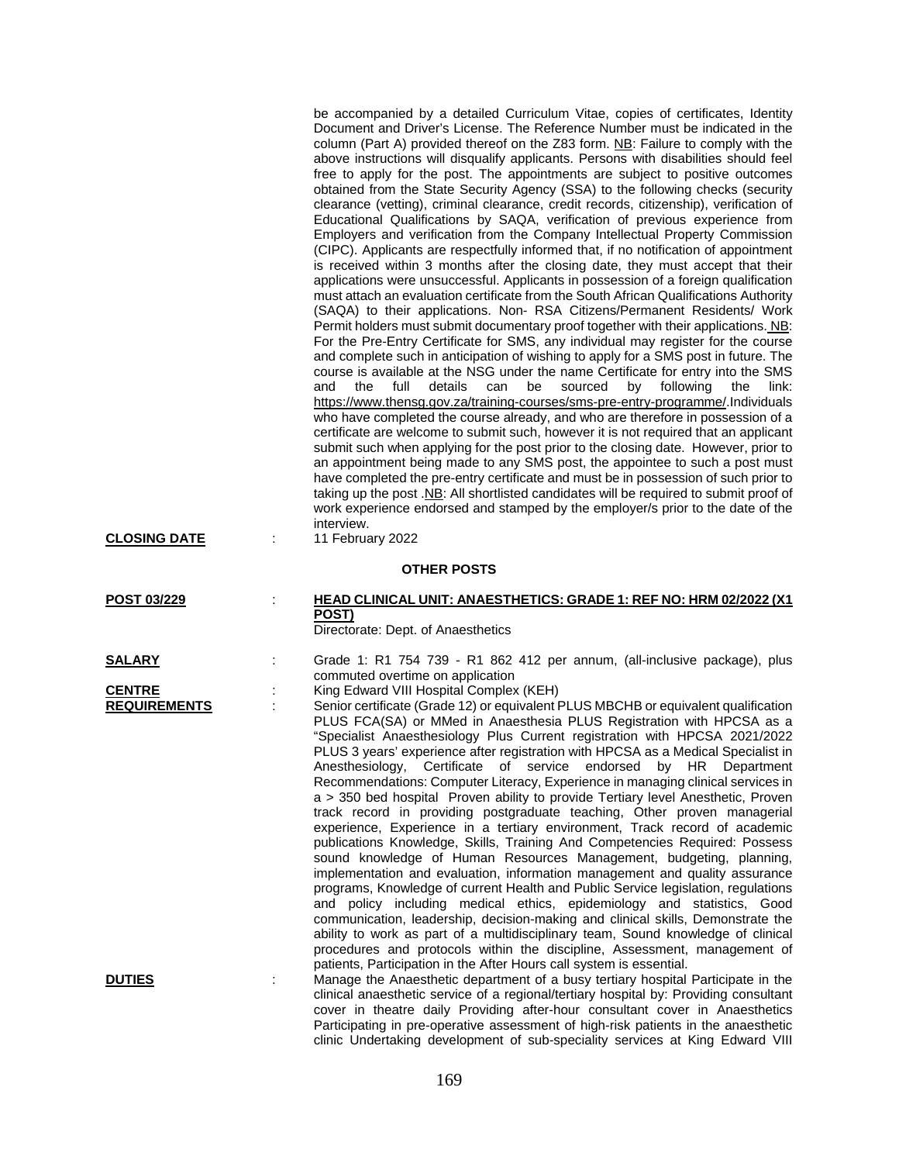| <b>CLOSING DATE</b>                                   | be accompanied by a detailed Curriculum Vitae, copies of certificates, Identity<br>Document and Driver's License. The Reference Number must be indicated in the<br>column (Part A) provided thereof on the Z83 form. NB: Failure to comply with the<br>above instructions will disqualify applicants. Persons with disabilities should feel<br>free to apply for the post. The appointments are subject to positive outcomes<br>obtained from the State Security Agency (SSA) to the following checks (security<br>clearance (vetting), criminal clearance, credit records, citizenship), verification of<br>Educational Qualifications by SAQA, verification of previous experience from<br>Employers and verification from the Company Intellectual Property Commission<br>(CIPC). Applicants are respectfully informed that, if no notification of appointment<br>is received within 3 months after the closing date, they must accept that their<br>applications were unsuccessful. Applicants in possession of a foreign qualification<br>must attach an evaluation certificate from the South African Qualifications Authority<br>(SAQA) to their applications. Non-RSA Citizens/Permanent Residents/ Work<br>Permit holders must submit documentary proof together with their applications. NB:<br>For the Pre-Entry Certificate for SMS, any individual may register for the course<br>and complete such in anticipation of wishing to apply for a SMS post in future. The<br>course is available at the NSG under the name Certificate for entry into the SMS<br>the<br>full<br>details<br>sourced<br>by<br>following<br>and<br>can<br>be<br>link:<br>the<br>https://www.thensg.gov.za/training-courses/sms-pre-entry-programme/.Individuals<br>who have completed the course already, and who are therefore in possession of a<br>certificate are welcome to submit such, however it is not required that an applicant<br>submit such when applying for the post prior to the closing date. However, prior to<br>an appointment being made to any SMS post, the appointee to such a post must<br>have completed the pre-entry certificate and must be in possession of such prior to<br>taking up the post .NB: All shortlisted candidates will be required to submit proof of<br>work experience endorsed and stamped by the employer/s prior to the date of the<br>interview.<br>11 February 2022 |
|-------------------------------------------------------|---------------------------------------------------------------------------------------------------------------------------------------------------------------------------------------------------------------------------------------------------------------------------------------------------------------------------------------------------------------------------------------------------------------------------------------------------------------------------------------------------------------------------------------------------------------------------------------------------------------------------------------------------------------------------------------------------------------------------------------------------------------------------------------------------------------------------------------------------------------------------------------------------------------------------------------------------------------------------------------------------------------------------------------------------------------------------------------------------------------------------------------------------------------------------------------------------------------------------------------------------------------------------------------------------------------------------------------------------------------------------------------------------------------------------------------------------------------------------------------------------------------------------------------------------------------------------------------------------------------------------------------------------------------------------------------------------------------------------------------------------------------------------------------------------------------------------------------------------------------------------------------------------------------------------------------------------------------------------------------------------------------------------------------------------------------------------------------------------------------------------------------------------------------------------------------------------------------------------------------------------------------------------------------------------------------------------------------------------------------------------------------------------------------|
|                                                       | <b>OTHER POSTS</b>                                                                                                                                                                                                                                                                                                                                                                                                                                                                                                                                                                                                                                                                                                                                                                                                                                                                                                                                                                                                                                                                                                                                                                                                                                                                                                                                                                                                                                                                                                                                                                                                                                                                                                                                                                                                                                                                                                                                                                                                                                                                                                                                                                                                                                                                                                                                                                                            |
| POST 03/229                                           | <b>HEAD CLINICAL UNIT: ANAESTHETICS: GRADE 1: REF NO: HRM 02/2022 (X1)</b><br>÷<br>POST)<br>Directorate: Dept. of Anaesthetics                                                                                                                                                                                                                                                                                                                                                                                                                                                                                                                                                                                                                                                                                                                                                                                                                                                                                                                                                                                                                                                                                                                                                                                                                                                                                                                                                                                                                                                                                                                                                                                                                                                                                                                                                                                                                                                                                                                                                                                                                                                                                                                                                                                                                                                                                |
| <b>SALARY</b><br><b>CENTRE</b><br><b>REQUIREMENTS</b> | Grade 1: R1 754 739 - R1 862 412 per annum, (all-inclusive package), plus<br>commuted overtime on application<br>King Edward VIII Hospital Complex (KEH)<br>Senior certificate (Grade 12) or equivalent PLUS MBCHB or equivalent qualification<br>PLUS FCA(SA) or MMed in Anaesthesia PLUS Registration with HPCSA as a<br>"Specialist Anaesthesiology Plus Current registration with HPCSA 2021/2022<br>PLUS 3 years' experience after registration with HPCSA as a Medical Specialist in<br>Anesthesiology, Certificate of service endorsed by HR Department<br>Recommendations: Computer Literacy, Experience in managing clinical services in<br>a > 350 bed hospital Proven ability to provide Tertiary level Anesthetic, Proven<br>track record in providing postgraduate teaching, Other proven managerial<br>experience, Experience in a tertiary environment, Track record of academic<br>publications Knowledge, Skills, Training And Competencies Required: Possess<br>sound knowledge of Human Resources Management, budgeting, planning,<br>implementation and evaluation, information management and quality assurance<br>programs, Knowledge of current Health and Public Service legislation, regulations<br>and policy including medical ethics, epidemiology and statistics, Good<br>communication, leadership, decision-making and clinical skills, Demonstrate the<br>ability to work as part of a multidisciplinary team, Sound knowledge of clinical<br>procedures and protocols within the discipline, Assessment, management of<br>patients, Participation in the After Hours call system is essential.                                                                                                                                                                                                                                                                                                                                                                                                                                                                                                                                                                                                                                                                                                                                                                               |
| <b>DUTIES</b>                                         | Manage the Anaesthetic department of a busy tertiary hospital Participate in the<br>clinical anaesthetic service of a regional/tertiary hospital by: Providing consultant<br>cover in theatre daily Providing after-hour consultant cover in Anaesthetics<br>Participating in pre-operative assessment of high-risk patients in the anaesthetic                                                                                                                                                                                                                                                                                                                                                                                                                                                                                                                                                                                                                                                                                                                                                                                                                                                                                                                                                                                                                                                                                                                                                                                                                                                                                                                                                                                                                                                                                                                                                                                                                                                                                                                                                                                                                                                                                                                                                                                                                                                               |

clinic Undertaking development of sub-speciality services at King Edward VIII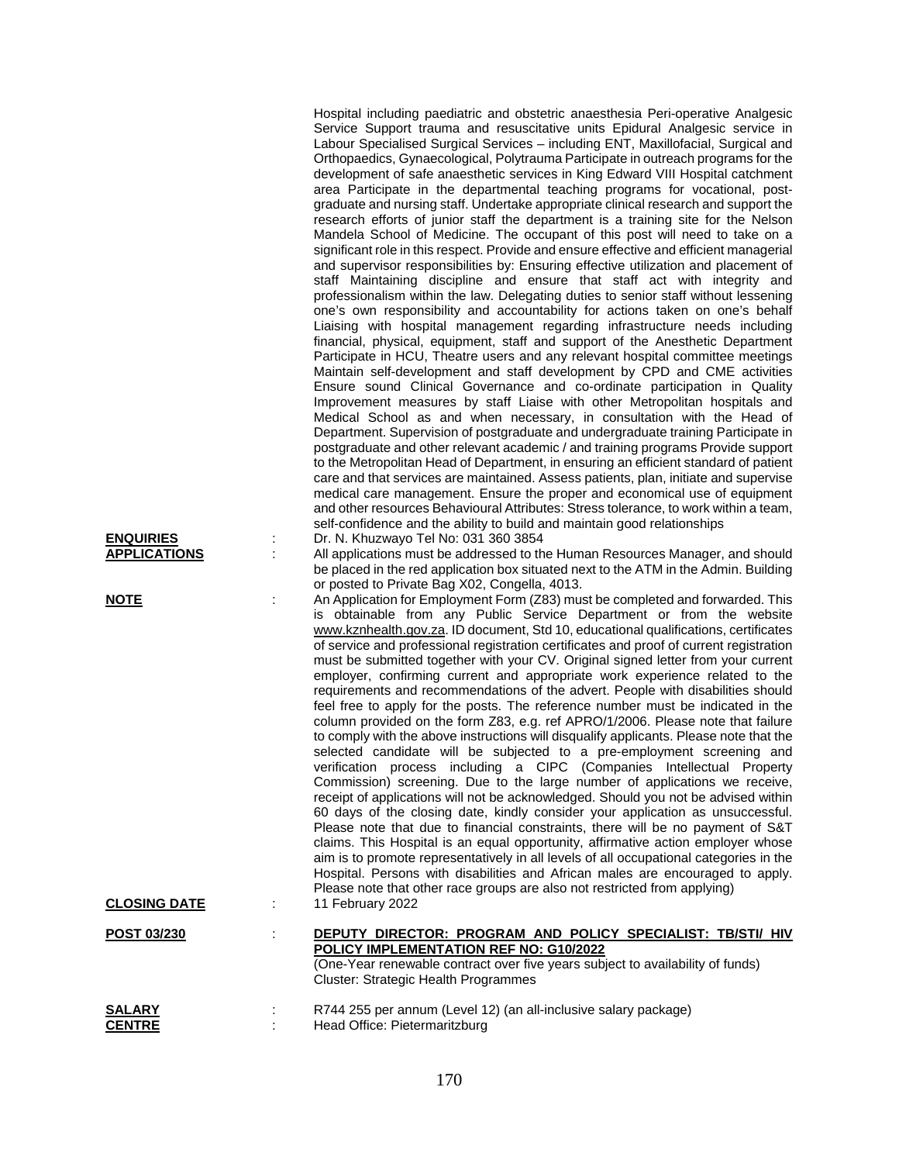| <b>ENQUIRIES</b><br><b>APPLICATIONS</b><br><u>NOTE</u> | ÷<br>t. | Hospital including paediatric and obstetric anaesthesia Peri-operative Analgesic<br>Service Support trauma and resuscitative units Epidural Analgesic service in<br>Labour Specialised Surgical Services - including ENT, Maxillofacial, Surgical and<br>Orthopaedics, Gynaecological, Polytrauma Participate in outreach programs for the<br>development of safe anaesthetic services in King Edward VIII Hospital catchment<br>area Participate in the departmental teaching programs for vocational, post-<br>graduate and nursing staff. Undertake appropriate clinical research and support the<br>research efforts of junior staff the department is a training site for the Nelson<br>Mandela School of Medicine. The occupant of this post will need to take on a<br>significant role in this respect. Provide and ensure effective and efficient managerial<br>and supervisor responsibilities by: Ensuring effective utilization and placement of<br>staff Maintaining discipline and ensure that staff act with integrity and<br>professionalism within the law. Delegating duties to senior staff without lessening<br>one's own responsibility and accountability for actions taken on one's behalf<br>Liaising with hospital management regarding infrastructure needs including<br>financial, physical, equipment, staff and support of the Anesthetic Department<br>Participate in HCU, Theatre users and any relevant hospital committee meetings<br>Maintain self-development and staff development by CPD and CME activities<br>Ensure sound Clinical Governance and co-ordinate participation in Quality<br>Improvement measures by staff Liaise with other Metropolitan hospitals and<br>Medical School as and when necessary, in consultation with the Head of<br>Department. Supervision of postgraduate and undergraduate training Participate in<br>postgraduate and other relevant academic / and training programs Provide support<br>to the Metropolitan Head of Department, in ensuring an efficient standard of patient<br>care and that services are maintained. Assess patients, plan, initiate and supervise<br>medical care management. Ensure the proper and economical use of equipment<br>and other resources Behavioural Attributes: Stress tolerance, to work within a team,<br>self-confidence and the ability to build and maintain good relationships<br>Dr. N. Khuzwayo Tel No: 031 360 3854<br>All applications must be addressed to the Human Resources Manager, and should<br>be placed in the red application box situated next to the ATM in the Admin. Building<br>or posted to Private Bag X02, Congella, 4013.<br>An Application for Employment Form (Z83) must be completed and forwarded. This<br>is obtainable from any Public Service Department or from the website<br>www.kznhealth.gov.za. ID document, Std 10, educational qualifications, certificates<br>of service and professional registration certificates and proof of current registration<br>must be submitted together with your CV. Original signed letter from your current<br>employer, confirming current and appropriate work experience related to the<br>requirements and recommendations of the advert. People with disabilities should<br>feel free to apply for the posts. The reference number must be indicated in the |
|--------------------------------------------------------|---------|---------------------------------------------------------------------------------------------------------------------------------------------------------------------------------------------------------------------------------------------------------------------------------------------------------------------------------------------------------------------------------------------------------------------------------------------------------------------------------------------------------------------------------------------------------------------------------------------------------------------------------------------------------------------------------------------------------------------------------------------------------------------------------------------------------------------------------------------------------------------------------------------------------------------------------------------------------------------------------------------------------------------------------------------------------------------------------------------------------------------------------------------------------------------------------------------------------------------------------------------------------------------------------------------------------------------------------------------------------------------------------------------------------------------------------------------------------------------------------------------------------------------------------------------------------------------------------------------------------------------------------------------------------------------------------------------------------------------------------------------------------------------------------------------------------------------------------------------------------------------------------------------------------------------------------------------------------------------------------------------------------------------------------------------------------------------------------------------------------------------------------------------------------------------------------------------------------------------------------------------------------------------------------------------------------------------------------------------------------------------------------------------------------------------------------------------------------------------------------------------------------------------------------------------------------------------------------------------------------------------------------------------------------------------------------------------------------------------------------------------------------------------------------------------------------------------------------------------------------------------------------------------------------------------------------------------------------------------------------------------------------------------------------------------------------------------------------------------------------------------------------------------------------------------------------------------------------------------------------------------------------------------------------------------------------------------------------------------------------|
|                                                        |         | column provided on the form Z83, e.g. ref APRO/1/2006. Please note that failure<br>to comply with the above instructions will disqualify applicants. Please note that the<br>selected candidate will be subjected to a pre-employment screening and<br>verification process including a CIPC (Companies Intellectual Property<br>Commission) screening. Due to the large number of applications we receive,<br>receipt of applications will not be acknowledged. Should you not be advised within<br>60 days of the closing date, kindly consider your application as unsuccessful.<br>Please note that due to financial constraints, there will be no payment of S&T<br>claims. This Hospital is an equal opportunity, affirmative action employer whose<br>aim is to promote representatively in all levels of all occupational categories in the<br>Hospital. Persons with disabilities and African males are encouraged to apply.<br>Please note that other race groups are also not restricted from applying)                                                                                                                                                                                                                                                                                                                                                                                                                                                                                                                                                                                                                                                                                                                                                                                                                                                                                                                                                                                                                                                                                                                                                                                                                                                                                                                                                                                                                                                                                                                                                                                                                                                                                                                                                                                                                                                                                                                                                                                                                                                                                                                                                                                                                                                                                                                                      |
| <b>CLOSING DATE</b>                                    |         | 11 February 2022                                                                                                                                                                                                                                                                                                                                                                                                                                                                                                                                                                                                                                                                                                                                                                                                                                                                                                                                                                                                                                                                                                                                                                                                                                                                                                                                                                                                                                                                                                                                                                                                                                                                                                                                                                                                                                                                                                                                                                                                                                                                                                                                                                                                                                                                                                                                                                                                                                                                                                                                                                                                                                                                                                                                                                                                                                                                                                                                                                                                                                                                                                                                                                                                                                                                                                                                        |
| POST 03/230                                            |         | DEPUTY DIRECTOR: PROGRAM AND POLICY SPECIALIST: TB/STI/ HIV<br>POLICY IMPLEMENTATION REF NO: G10/2022<br>(One-Year renewable contract over five years subject to availability of funds)<br>Cluster: Strategic Health Programmes                                                                                                                                                                                                                                                                                                                                                                                                                                                                                                                                                                                                                                                                                                                                                                                                                                                                                                                                                                                                                                                                                                                                                                                                                                                                                                                                                                                                                                                                                                                                                                                                                                                                                                                                                                                                                                                                                                                                                                                                                                                                                                                                                                                                                                                                                                                                                                                                                                                                                                                                                                                                                                                                                                                                                                                                                                                                                                                                                                                                                                                                                                                         |
| <u>SALARY</u><br><b>CENTRE</b>                         |         | R744 255 per annum (Level 12) (an all-inclusive salary package)<br>Head Office: Pietermaritzburg                                                                                                                                                                                                                                                                                                                                                                                                                                                                                                                                                                                                                                                                                                                                                                                                                                                                                                                                                                                                                                                                                                                                                                                                                                                                                                                                                                                                                                                                                                                                                                                                                                                                                                                                                                                                                                                                                                                                                                                                                                                                                                                                                                                                                                                                                                                                                                                                                                                                                                                                                                                                                                                                                                                                                                                                                                                                                                                                                                                                                                                                                                                                                                                                                                                        |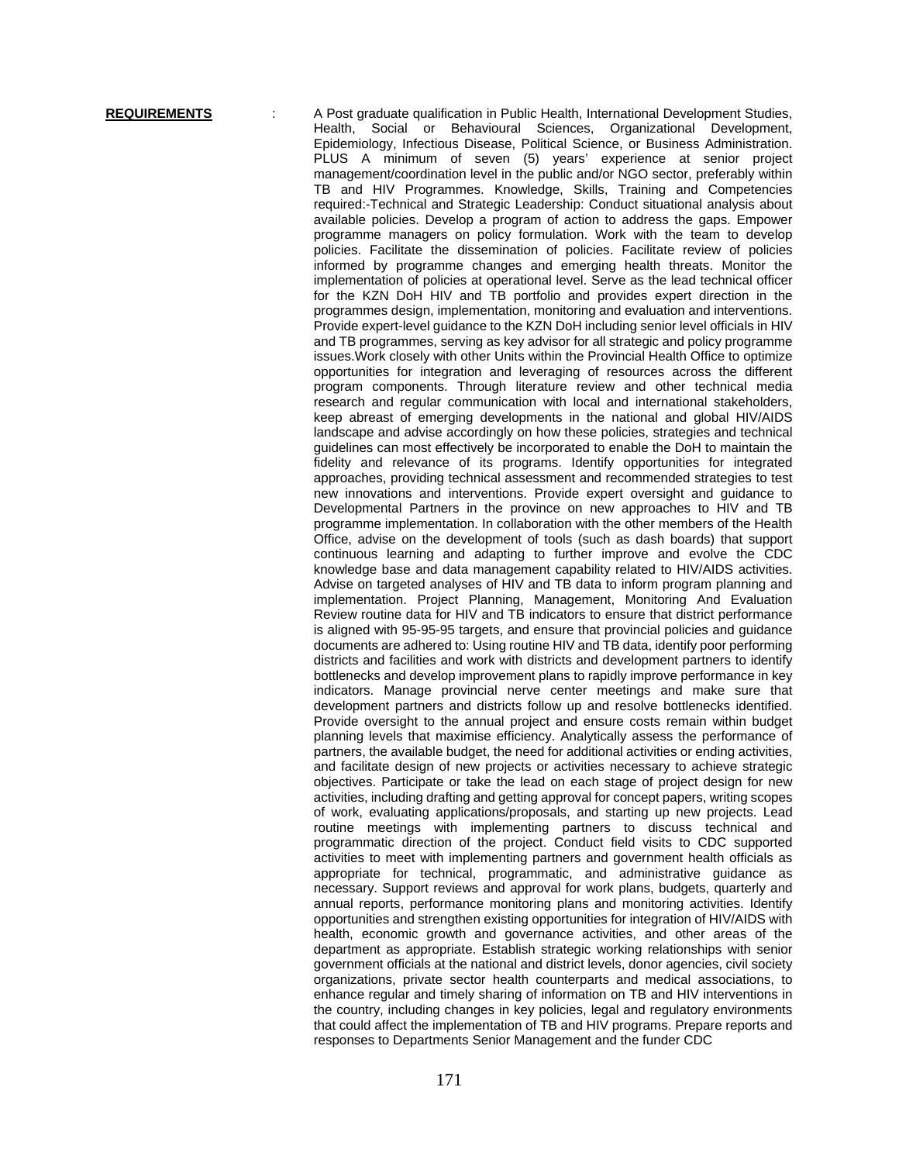**REQUIREMENTS** : A Post graduate qualification in Public Health, International Development Studies,<br>Health. Social or Behavioural Sciences. Organizational Development. Social or Behavioural Sciences, Organizational Development, Epidemiology, Infectious Disease, Political Science, or Business Administration. PLUS A minimum of seven (5) years' experience at senior project management/coordination level in the public and/or NGO sector, preferably within TB and HIV Programmes. Knowledge, Skills, Training and Competencies required:-Technical and Strategic Leadership: Conduct situational analysis about available policies. Develop a program of action to address the gaps. Empower programme managers on policy formulation. Work with the team to develop policies. Facilitate the dissemination of policies. Facilitate review of policies informed by programme changes and emerging health threats. Monitor the implementation of policies at operational level. Serve as the lead technical officer for the KZN DoH HIV and TB portfolio and provides expert direction in the programmes design, implementation, monitoring and evaluation and interventions. Provide expert-level guidance to the KZN DoH including senior level officials in HIV and TB programmes, serving as key advisor for all strategic and policy programme issues.Work closely with other Units within the Provincial Health Office to optimize opportunities for integration and leveraging of resources across the different program components. Through literature review and other technical media research and regular communication with local and international stakeholders, keep abreast of emerging developments in the national and global HIV/AIDS landscape and advise accordingly on how these policies, strategies and technical guidelines can most effectively be incorporated to enable the DoH to maintain the fidelity and relevance of its programs. Identify opportunities for integrated approaches, providing technical assessment and recommended strategies to test new innovations and interventions. Provide expert oversight and guidance to Developmental Partners in the province on new approaches to HIV and TB programme implementation. In collaboration with the other members of the Health Office, advise on the development of tools (such as dash boards) that support continuous learning and adapting to further improve and evolve the CDC knowledge base and data management capability related to HIV/AIDS activities. Advise on targeted analyses of HIV and TB data to inform program planning and implementation. Project Planning, Management, Monitoring And Evaluation Review routine data for HIV and TB indicators to ensure that district performance is aligned with 95-95-95 targets, and ensure that provincial policies and guidance documents are adhered to: Using routine HIV and TB data, identify poor performing districts and facilities and work with districts and development partners to identify bottlenecks and develop improvement plans to rapidly improve performance in key indicators. Manage provincial nerve center meetings and make sure that development partners and districts follow up and resolve bottlenecks identified. Provide oversight to the annual project and ensure costs remain within budget planning levels that maximise efficiency. Analytically assess the performance of partners, the available budget, the need for additional activities or ending activities, and facilitate design of new projects or activities necessary to achieve strategic objectives. Participate or take the lead on each stage of project design for new activities, including drafting and getting approval for concept papers, writing scopes of work, evaluating applications/proposals, and starting up new projects. Lead routine meetings with implementing partners to discuss technical and programmatic direction of the project. Conduct field visits to CDC supported activities to meet with implementing partners and government health officials as appropriate for technical, programmatic, and administrative guidance as necessary. Support reviews and approval for work plans, budgets, quarterly and annual reports, performance monitoring plans and monitoring activities. Identify opportunities and strengthen existing opportunities for integration of HIV/AIDS with health, economic growth and governance activities, and other areas of the department as appropriate. Establish strategic working relationships with senior government officials at the national and district levels, donor agencies, civil society organizations, private sector health counterparts and medical associations, to enhance regular and timely sharing of information on TB and HIV interventions in the country, including changes in key policies, legal and regulatory environments that could affect the implementation of TB and HIV programs. Prepare reports and responses to Departments Senior Management and the funder CDC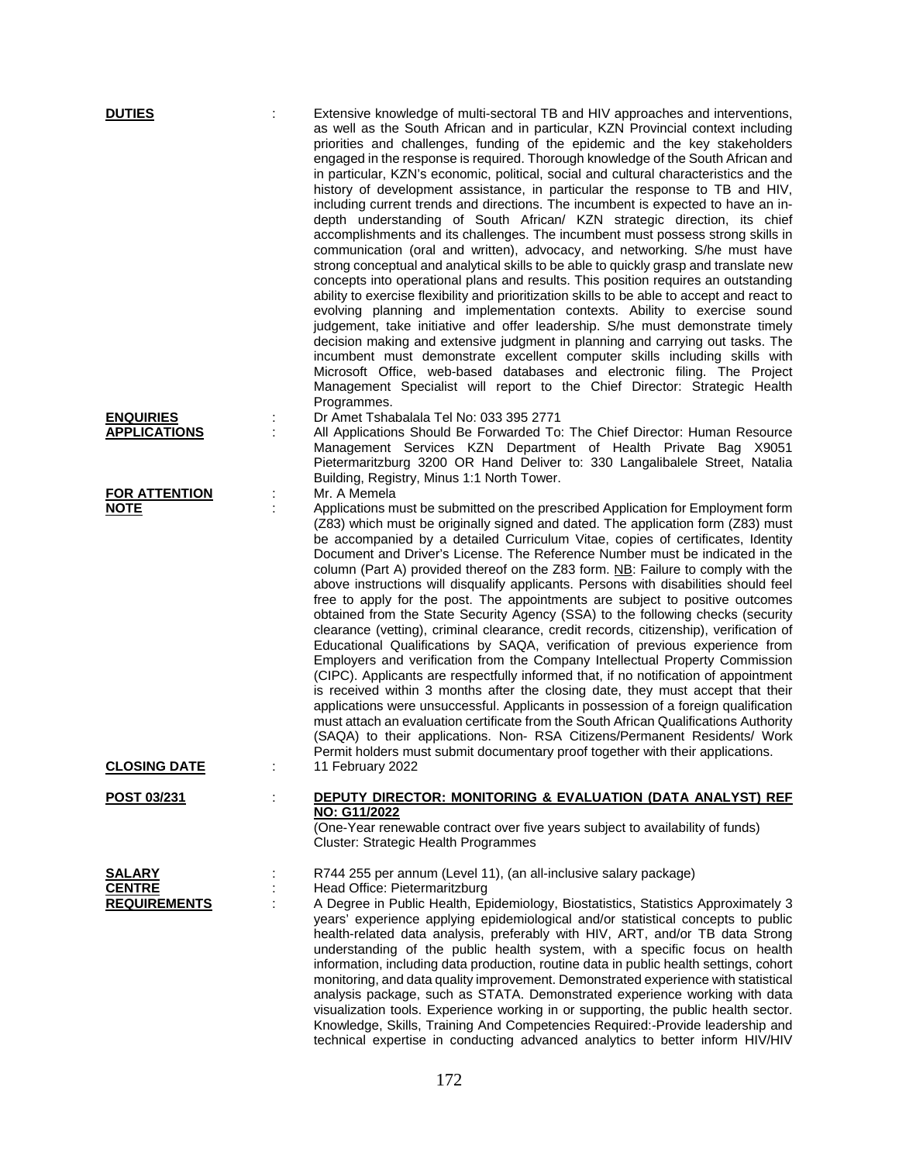| <b>DUTIES</b>                        | Extensive knowledge of multi-sectoral TB and HIV approaches and interventions,<br>as well as the South African and in particular, KZN Provincial context including<br>priorities and challenges, funding of the epidemic and the key stakeholders<br>engaged in the response is required. Thorough knowledge of the South African and<br>in particular, KZN's economic, political, social and cultural characteristics and the<br>history of development assistance, in particular the response to TB and HIV,<br>including current trends and directions. The incumbent is expected to have an in-<br>depth understanding of South African/ KZN strategic direction, its chief<br>accomplishments and its challenges. The incumbent must possess strong skills in<br>communication (oral and written), advocacy, and networking. S/he must have<br>strong conceptual and analytical skills to be able to quickly grasp and translate new<br>concepts into operational plans and results. This position requires an outstanding<br>ability to exercise flexibility and prioritization skills to be able to accept and react to<br>evolving planning and implementation contexts. Ability to exercise sound<br>judgement, take initiative and offer leadership. S/he must demonstrate timely<br>decision making and extensive judgment in planning and carrying out tasks. The<br>incumbent must demonstrate excellent computer skills including skills with<br>Microsoft Office, web-based databases and electronic filing. The Project<br>Management Specialist will report to the Chief Director: Strategic Health<br>Programmes. |
|--------------------------------------|-------------------------------------------------------------------------------------------------------------------------------------------------------------------------------------------------------------------------------------------------------------------------------------------------------------------------------------------------------------------------------------------------------------------------------------------------------------------------------------------------------------------------------------------------------------------------------------------------------------------------------------------------------------------------------------------------------------------------------------------------------------------------------------------------------------------------------------------------------------------------------------------------------------------------------------------------------------------------------------------------------------------------------------------------------------------------------------------------------------------------------------------------------------------------------------------------------------------------------------------------------------------------------------------------------------------------------------------------------------------------------------------------------------------------------------------------------------------------------------------------------------------------------------------------------------------------------------------------------------------------------------|
| <b>ENQUIRIES</b>                     | Dr Amet Tshabalala Tel No: 033 395 2771                                                                                                                                                                                                                                                                                                                                                                                                                                                                                                                                                                                                                                                                                                                                                                                                                                                                                                                                                                                                                                                                                                                                                                                                                                                                                                                                                                                                                                                                                                                                                                                             |
| <b>APPLICATIONS</b>                  | All Applications Should Be Forwarded To: The Chief Director: Human Resource<br>Management Services KZN Department of Health Private Bag X9051<br>Pietermaritzburg 3200 OR Hand Deliver to: 330 Langalibalele Street, Natalia<br>Building, Registry, Minus 1:1 North Tower.                                                                                                                                                                                                                                                                                                                                                                                                                                                                                                                                                                                                                                                                                                                                                                                                                                                                                                                                                                                                                                                                                                                                                                                                                                                                                                                                                          |
| <b>FOR ATTENTION</b>                 | Mr. A Memela                                                                                                                                                                                                                                                                                                                                                                                                                                                                                                                                                                                                                                                                                                                                                                                                                                                                                                                                                                                                                                                                                                                                                                                                                                                                                                                                                                                                                                                                                                                                                                                                                        |
| <b>NOTE</b>                          | Applications must be submitted on the prescribed Application for Employment form<br>(Z83) which must be originally signed and dated. The application form (Z83) must<br>be accompanied by a detailed Curriculum Vitae, copies of certificates, Identity<br>Document and Driver's License. The Reference Number must be indicated in the<br>column (Part A) provided thereof on the Z83 form. NB: Failure to comply with the<br>above instructions will disqualify applicants. Persons with disabilities should feel<br>free to apply for the post. The appointments are subject to positive outcomes<br>obtained from the State Security Agency (SSA) to the following checks (security<br>clearance (vetting), criminal clearance, credit records, citizenship), verification of<br>Educational Qualifications by SAQA, verification of previous experience from<br>Employers and verification from the Company Intellectual Property Commission<br>(CIPC). Applicants are respectfully informed that, if no notification of appointment<br>is received within 3 months after the closing date, they must accept that their<br>applications were unsuccessful. Applicants in possession of a foreign qualification<br>must attach an evaluation certificate from the South African Qualifications Authority<br>(SAQA) to their applications. Non- RSA Citizens/Permanent Residents/ Work<br>Permit holders must submit documentary proof together with their applications.                                                                                                                                                         |
| <u>CLOSING DATE</u>                  | 11 February 2022                                                                                                                                                                                                                                                                                                                                                                                                                                                                                                                                                                                                                                                                                                                                                                                                                                                                                                                                                                                                                                                                                                                                                                                                                                                                                                                                                                                                                                                                                                                                                                                                                    |
| POST 03/231                          | DEPUTY DIRECTOR: MONITORING & EVALUATION (DATA ANALYST) REF<br>NO: G11/2022<br>(One-Year renewable contract over five years subject to availability of funds)<br><b>Cluster: Strategic Health Programmes</b>                                                                                                                                                                                                                                                                                                                                                                                                                                                                                                                                                                                                                                                                                                                                                                                                                                                                                                                                                                                                                                                                                                                                                                                                                                                                                                                                                                                                                        |
| <b>SALARY</b>                        | R744 255 per annum (Level 11), (an all-inclusive salary package)                                                                                                                                                                                                                                                                                                                                                                                                                                                                                                                                                                                                                                                                                                                                                                                                                                                                                                                                                                                                                                                                                                                                                                                                                                                                                                                                                                                                                                                                                                                                                                    |
| <b>CENTRE</b><br><b>REQUIREMENTS</b> | Head Office: Pietermaritzburg<br>A Degree in Public Health, Epidemiology, Biostatistics, Statistics Approximately 3<br>years' experience applying epidemiological and/or statistical concepts to public<br>health-related data analysis, preferably with HIV, ART, and/or TB data Strong<br>understanding of the public health system, with a specific focus on health<br>information, including data production, routine data in public health settings, cohort<br>monitoring, and data quality improvement. Demonstrated experience with statistical<br>analysis package, such as STATA. Demonstrated experience working with data<br>visualization tools. Experience working in or supporting, the public health sector.<br>Knowledge, Skills, Training And Competencies Required:-Provide leadership and<br>technical expertise in conducting advanced analytics to better inform HIV/HIV                                                                                                                                                                                                                                                                                                                                                                                                                                                                                                                                                                                                                                                                                                                                       |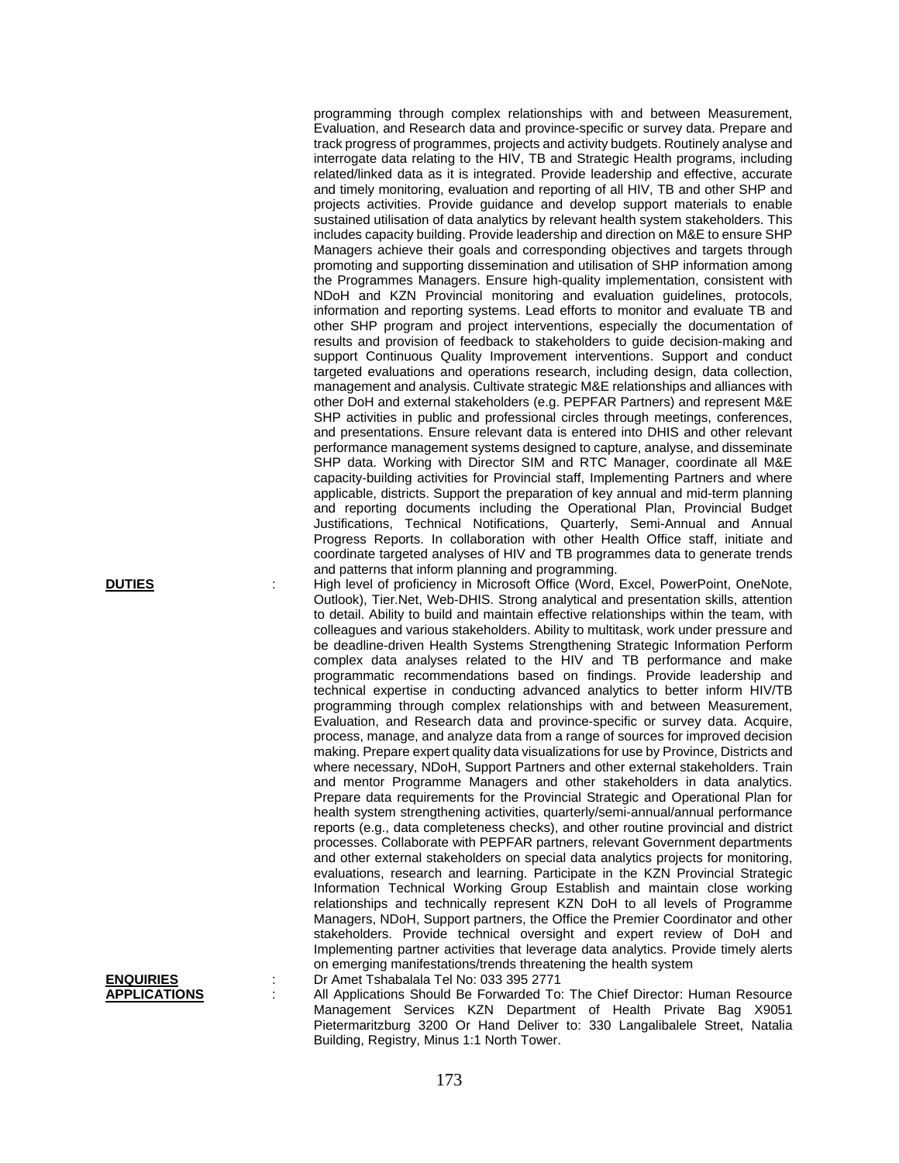programming through complex relationships with and between Measurement, Evaluation, and Research data and province-specific or survey data. Prepare and track progress of programmes, projects and activity budgets. Routinely analyse and interrogate data relating to the HIV, TB and Strategic Health programs, including related/linked data as it is integrated. Provide leadership and effective, accurate and timely monitoring, evaluation and reporting of all HIV, TB and other SHP and projects activities. Provide guidance and develop support materials to enable sustained utilisation of data analytics by relevant health system stakeholders. This includes capacity building. Provide leadership and direction on M&E to ensure SHP Managers achieve their goals and corresponding objectives and targets through promoting and supporting dissemination and utilisation of SHP information among the Programmes Managers. Ensure high-quality implementation, consistent with NDoH and KZN Provincial monitoring and evaluation guidelines, protocols, information and reporting systems. Lead efforts to monitor and evaluate TB and other SHP program and project interventions, especially the documentation of results and provision of feedback to stakeholders to guide decision-making and support Continuous Quality Improvement interventions. Support and conduct targeted evaluations and operations research, including design, data collection, management and analysis. Cultivate strategic M&E relationships and alliances with other DoH and external stakeholders (e.g. PEPFAR Partners) and represent M&E SHP activities in public and professional circles through meetings, conferences, and presentations. Ensure relevant data is entered into DHIS and other relevant performance management systems designed to capture, analyse, and disseminate SHP data. Working with Director SIM and RTC Manager, coordinate all M&E capacity-building activities for Provincial staff, Implementing Partners and where applicable, districts. Support the preparation of key annual and mid-term planning and reporting documents including the Operational Plan, Provincial Budget Justifications, Technical Notifications, Quarterly, Semi-Annual and Annual Progress Reports. In collaboration with other Health Office staff, initiate and coordinate targeted analyses of HIV and TB programmes data to generate trends and patterns that inform planning and programming.

**DUTIES** : High level of proficiency in Microsoft Office (Word, Excel, PowerPoint, OneNote, Outlook), Tier.Net, Web-DHIS. Strong analytical and presentation skills, attention to detail. Ability to build and maintain effective relationships within the team, with colleagues and various stakeholders. Ability to multitask, work under pressure and be deadline-driven Health Systems Strengthening Strategic Information Perform complex data analyses related to the HIV and TB performance and make programmatic recommendations based on findings. Provide leadership and technical expertise in conducting advanced analytics to better inform HIV/TB programming through complex relationships with and between Measurement, Evaluation, and Research data and province-specific or survey data. Acquire, process, manage, and analyze data from a range of sources for improved decision making. Prepare expert quality data visualizations for use by Province, Districts and where necessary, NDoH, Support Partners and other external stakeholders. Train and mentor Programme Managers and other stakeholders in data analytics. Prepare data requirements for the Provincial Strategic and Operational Plan for health system strengthening activities, quarterly/semi-annual/annual performance reports (e.g., data completeness checks), and other routine provincial and district processes. Collaborate with PEPFAR partners, relevant Government departments and other external stakeholders on special data analytics projects for monitoring, evaluations, research and learning. Participate in the KZN Provincial Strategic Information Technical Working Group Establish and maintain close working relationships and technically represent KZN DoH to all levels of Programme Managers, NDoH, Support partners, the Office the Premier Coordinator and other stakeholders. Provide technical oversight and expert review of DoH and Implementing partner activities that leverage data analytics. Provide timely alerts on emerging manifestations/trends threatening the health system

**ENQUIRIES** : Dr Amet Tshabalala Tel No: 033 395 2771<br>**APPLICATIONS** : All Applications Should Be Forwarded To:

All Applications Should Be Forwarded To: The Chief Director: Human Resource Management Services KZN Department of Health Private Bag X9051 Pietermaritzburg 3200 Or Hand Deliver to: 330 Langalibalele Street, Natalia Building, Registry, Minus 1:1 North Tower.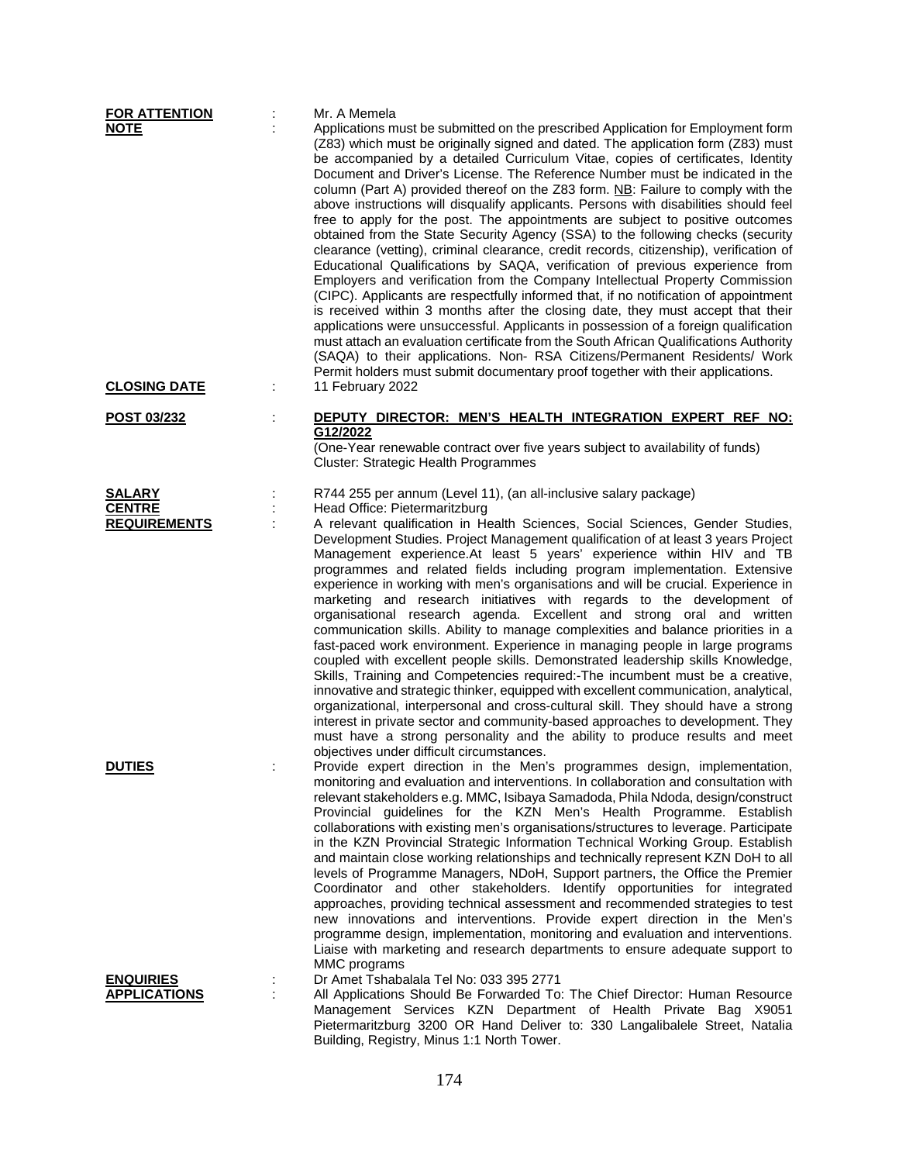| <b>FOR ATTENTION</b>                 | Mr. A Memela                                                                                                                                                                                                                                                                                                                                                                                                                                                                                                                                                                                                                                                                                                                                                                                                                                                                                                                                                                                                                                                                                                                                                                                                                                                                                                                                                                                                                                                                |
|--------------------------------------|-----------------------------------------------------------------------------------------------------------------------------------------------------------------------------------------------------------------------------------------------------------------------------------------------------------------------------------------------------------------------------------------------------------------------------------------------------------------------------------------------------------------------------------------------------------------------------------------------------------------------------------------------------------------------------------------------------------------------------------------------------------------------------------------------------------------------------------------------------------------------------------------------------------------------------------------------------------------------------------------------------------------------------------------------------------------------------------------------------------------------------------------------------------------------------------------------------------------------------------------------------------------------------------------------------------------------------------------------------------------------------------------------------------------------------------------------------------------------------|
| <b>NOTE</b>                          | Applications must be submitted on the prescribed Application for Employment form<br>(Z83) which must be originally signed and dated. The application form (Z83) must<br>be accompanied by a detailed Curriculum Vitae, copies of certificates, Identity<br>Document and Driver's License. The Reference Number must be indicated in the<br>column (Part A) provided thereof on the Z83 form. NB: Failure to comply with the<br>above instructions will disqualify applicants. Persons with disabilities should feel<br>free to apply for the post. The appointments are subject to positive outcomes<br>obtained from the State Security Agency (SSA) to the following checks (security<br>clearance (vetting), criminal clearance, credit records, citizenship), verification of<br>Educational Qualifications by SAQA, verification of previous experience from<br>Employers and verification from the Company Intellectual Property Commission<br>(CIPC). Applicants are respectfully informed that, if no notification of appointment<br>is received within 3 months after the closing date, they must accept that their<br>applications were unsuccessful. Applicants in possession of a foreign qualification<br>must attach an evaluation certificate from the South African Qualifications Authority<br>(SAQA) to their applications. Non- RSA Citizens/Permanent Residents/ Work<br>Permit holders must submit documentary proof together with their applications. |
| <b>CLOSING DATE</b>                  | 11 February 2022                                                                                                                                                                                                                                                                                                                                                                                                                                                                                                                                                                                                                                                                                                                                                                                                                                                                                                                                                                                                                                                                                                                                                                                                                                                                                                                                                                                                                                                            |
| POST 03/232                          | DEPUTY DIRECTOR: MEN'S HEALTH INTEGRATION EXPERT REF NO:<br>G12/2022<br>(One-Year renewable contract over five years subject to availability of funds)<br>Cluster: Strategic Health Programmes                                                                                                                                                                                                                                                                                                                                                                                                                                                                                                                                                                                                                                                                                                                                                                                                                                                                                                                                                                                                                                                                                                                                                                                                                                                                              |
| <b>SALARY</b>                        | R744 255 per annum (Level 11), (an all-inclusive salary package)                                                                                                                                                                                                                                                                                                                                                                                                                                                                                                                                                                                                                                                                                                                                                                                                                                                                                                                                                                                                                                                                                                                                                                                                                                                                                                                                                                                                            |
| <b>CENTRE</b><br><b>REQUIREMENTS</b> | Head Office: Pietermaritzburg                                                                                                                                                                                                                                                                                                                                                                                                                                                                                                                                                                                                                                                                                                                                                                                                                                                                                                                                                                                                                                                                                                                                                                                                                                                                                                                                                                                                                                               |
|                                      | A relevant qualification in Health Sciences, Social Sciences, Gender Studies,<br>Development Studies. Project Management qualification of at least 3 years Project<br>Management experience.At least 5 years' experience within HIV and TB<br>programmes and related fields including program implementation. Extensive<br>experience in working with men's organisations and will be crucial. Experience in<br>marketing and research initiatives with regards to the development of<br>organisational research agenda. Excellent and strong oral and written<br>communication skills. Ability to manage complexities and balance priorities in a<br>fast-paced work environment. Experience in managing people in large programs<br>coupled with excellent people skills. Demonstrated leadership skills Knowledge,<br>Skills, Training and Competencies required:-The incumbent must be a creative,<br>innovative and strategic thinker, equipped with excellent communication, analytical,<br>organizational, interpersonal and cross-cultural skill. They should have a strong<br>interest in private sector and community-based approaches to development. They<br>must have a strong personality and the ability to produce results and meet<br>objectives under difficult circumstances.                                                                                                                                                                            |
| <b>DUTIES</b>                        | Provide expert direction in the Men's programmes design, implementation,<br>monitoring and evaluation and interventions. In collaboration and consultation with<br>relevant stakeholders e.g. MMC, Isibaya Samadoda, Phila Ndoda, design/construct<br>Provincial guidelines for the KZN Men's Health Programme. Establish<br>collaborations with existing men's organisations/structures to leverage. Participate<br>in the KZN Provincial Strategic Information Technical Working Group. Establish<br>and maintain close working relationships and technically represent KZN DoH to all<br>levels of Programme Managers, NDoH, Support partners, the Office the Premier<br>Coordinator and other stakeholders. Identify opportunities for integrated<br>approaches, providing technical assessment and recommended strategies to test<br>new innovations and interventions. Provide expert direction in the Men's<br>programme design, implementation, monitoring and evaluation and interventions.<br>Liaise with marketing and research departments to ensure adequate support to                                                                                                                                                                                                                                                                                                                                                                                        |
| <b>ENQUIRIES</b>                     | MMC programs<br>Dr Amet Tshabalala Tel No: 033 395 2771                                                                                                                                                                                                                                                                                                                                                                                                                                                                                                                                                                                                                                                                                                                                                                                                                                                                                                                                                                                                                                                                                                                                                                                                                                                                                                                                                                                                                     |
| <b>APPLICATIONS</b>                  | All Applications Should Be Forwarded To: The Chief Director: Human Resource<br>Management Services KZN Department of Health Private Bag X9051                                                                                                                                                                                                                                                                                                                                                                                                                                                                                                                                                                                                                                                                                                                                                                                                                                                                                                                                                                                                                                                                                                                                                                                                                                                                                                                               |
|                                      | Pietermaritzburg 3200 OR Hand Deliver to: 330 Langalibalele Street, Natalia                                                                                                                                                                                                                                                                                                                                                                                                                                                                                                                                                                                                                                                                                                                                                                                                                                                                                                                                                                                                                                                                                                                                                                                                                                                                                                                                                                                                 |

Building, Registry, Minus 1:1 North Tower.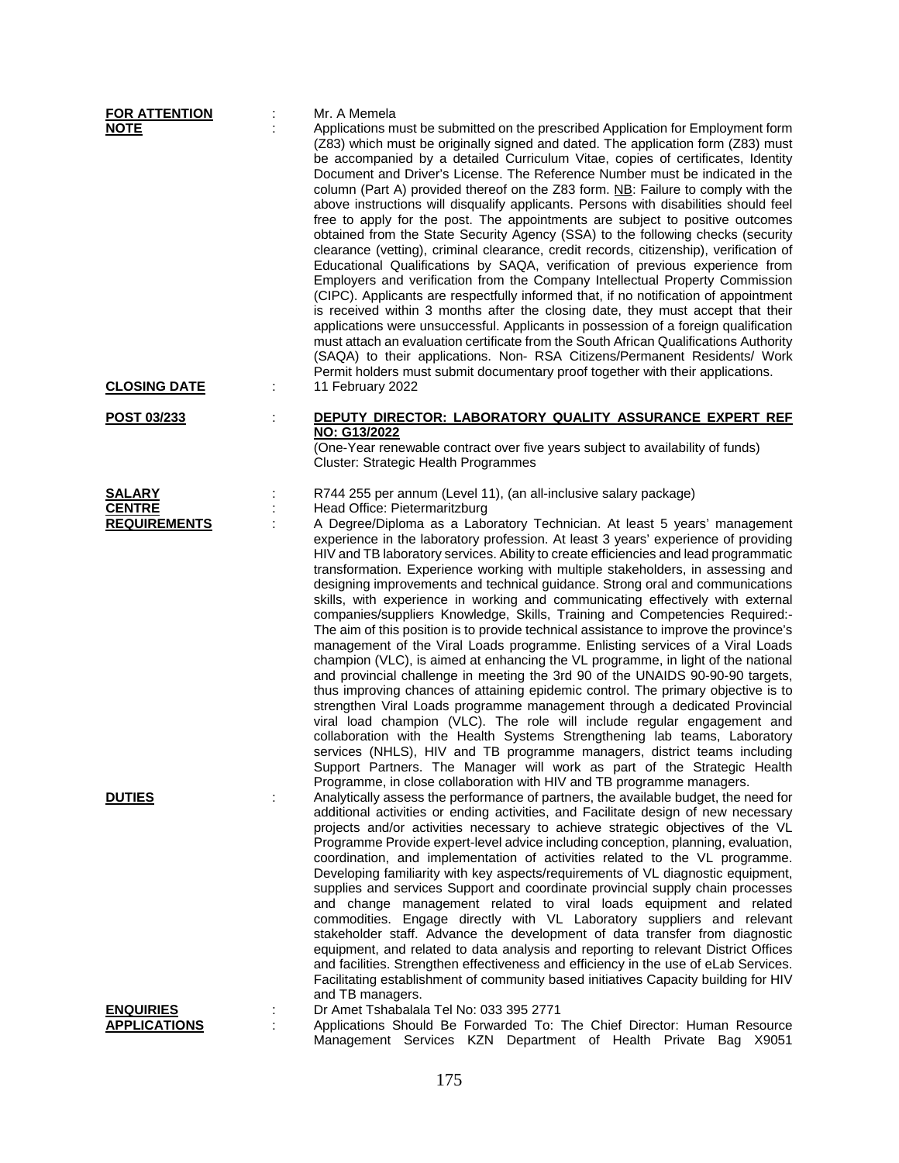| <b>FOR ATTENTION</b>                 |   | Mr. A Memela                                                                                                                                                                                                                                                                                                                                                                                                                                                                                                                                                                                                                                                                                                                                                                                                                                                                                                                                                                                                                                                                                                                                                                                                                                                                                                                                                                                                                                                                                                                            |
|--------------------------------------|---|-----------------------------------------------------------------------------------------------------------------------------------------------------------------------------------------------------------------------------------------------------------------------------------------------------------------------------------------------------------------------------------------------------------------------------------------------------------------------------------------------------------------------------------------------------------------------------------------------------------------------------------------------------------------------------------------------------------------------------------------------------------------------------------------------------------------------------------------------------------------------------------------------------------------------------------------------------------------------------------------------------------------------------------------------------------------------------------------------------------------------------------------------------------------------------------------------------------------------------------------------------------------------------------------------------------------------------------------------------------------------------------------------------------------------------------------------------------------------------------------------------------------------------------------|
| <b>NOTE</b>                          |   | Applications must be submitted on the prescribed Application for Employment form<br>(Z83) which must be originally signed and dated. The application form (Z83) must<br>be accompanied by a detailed Curriculum Vitae, copies of certificates, Identity<br>Document and Driver's License. The Reference Number must be indicated in the<br>column (Part A) provided thereof on the Z83 form. NB: Failure to comply with the<br>above instructions will disqualify applicants. Persons with disabilities should feel<br>free to apply for the post. The appointments are subject to positive outcomes<br>obtained from the State Security Agency (SSA) to the following checks (security<br>clearance (vetting), criminal clearance, credit records, citizenship), verification of<br>Educational Qualifications by SAQA, verification of previous experience from<br>Employers and verification from the Company Intellectual Property Commission<br>(CIPC). Applicants are respectfully informed that, if no notification of appointment<br>is received within 3 months after the closing date, they must accept that their<br>applications were unsuccessful. Applicants in possession of a foreign qualification<br>must attach an evaluation certificate from the South African Qualifications Authority<br>(SAQA) to their applications. Non-RSA Citizens/Permanent Residents/ Work<br>Permit holders must submit documentary proof together with their applications.                                                              |
| <b>CLOSING DATE</b>                  | ÷ | 11 February 2022                                                                                                                                                                                                                                                                                                                                                                                                                                                                                                                                                                                                                                                                                                                                                                                                                                                                                                                                                                                                                                                                                                                                                                                                                                                                                                                                                                                                                                                                                                                        |
| <u>POST 03/233</u>                   |   | DEPUTY DIRECTOR: LABORATORY QUALITY ASSURANCE EXPERT REF<br>NO: G13/2022<br>(One-Year renewable contract over five years subject to availability of funds)<br>Cluster: Strategic Health Programmes                                                                                                                                                                                                                                                                                                                                                                                                                                                                                                                                                                                                                                                                                                                                                                                                                                                                                                                                                                                                                                                                                                                                                                                                                                                                                                                                      |
| <b>SALARY</b>                        |   | R744 255 per annum (Level 11), (an all-inclusive salary package)                                                                                                                                                                                                                                                                                                                                                                                                                                                                                                                                                                                                                                                                                                                                                                                                                                                                                                                                                                                                                                                                                                                                                                                                                                                                                                                                                                                                                                                                        |
| <b>CENTRE</b><br><b>REQUIREMENTS</b> |   | Head Office: Pietermaritzburg<br>A Degree/Diploma as a Laboratory Technician. At least 5 years' management<br>experience in the laboratory profession. At least 3 years' experience of providing<br>HIV and TB laboratory services. Ability to create efficiencies and lead programmatic<br>transformation. Experience working with multiple stakeholders, in assessing and<br>designing improvements and technical guidance. Strong oral and communications<br>skills, with experience in working and communicating effectively with external<br>companies/suppliers Knowledge, Skills, Training and Competencies Required:-<br>The aim of this position is to provide technical assistance to improve the province's<br>management of the Viral Loads programme. Enlisting services of a Viral Loads<br>champion (VLC), is aimed at enhancing the VL programme, in light of the national<br>and provincial challenge in meeting the 3rd 90 of the UNAIDS 90-90-90 targets,<br>thus improving chances of attaining epidemic control. The primary objective is to<br>strengthen Viral Loads programme management through a dedicated Provincial<br>viral load champion (VLC). The role will include regular engagement and<br>collaboration with the Health Systems Strengthening lab teams, Laboratory<br>services (NHLS), HIV and TB programme managers, district teams including<br>Support Partners. The Manager will work as part of the Strategic Health<br>Programme, in close collaboration with HIV and TB programme managers. |
| <b>DUTIES</b>                        |   | Analytically assess the performance of partners, the available budget, the need for<br>additional activities or ending activities, and Facilitate design of new necessary<br>projects and/or activities necessary to achieve strategic objectives of the VL<br>Programme Provide expert-level advice including conception, planning, evaluation,<br>coordination, and implementation of activities related to the VL programme.<br>Developing familiarity with key aspects/requirements of VL diagnostic equipment,<br>supplies and services Support and coordinate provincial supply chain processes<br>and change management related to viral loads equipment and related<br>commodities. Engage directly with VL Laboratory suppliers and relevant<br>stakeholder staff. Advance the development of data transfer from diagnostic<br>equipment, and related to data analysis and reporting to relevant District Offices<br>and facilities. Strengthen effectiveness and efficiency in the use of eLab Services.<br>Facilitating establishment of community based initiatives Capacity building for HIV                                                                                                                                                                                                                                                                                                                                                                                                                               |
| <b>ENQUIRIES</b>                     |   | and TB managers.<br>Dr Amet Tshabalala Tel No: 033 395 2771                                                                                                                                                                                                                                                                                                                                                                                                                                                                                                                                                                                                                                                                                                                                                                                                                                                                                                                                                                                                                                                                                                                                                                                                                                                                                                                                                                                                                                                                             |
| <b>APPLICATIONS</b>                  |   | Applications Should Be Forwarded To: The Chief Director: Human Resource<br>Management Services KZN Department of Health Private Bag X9051                                                                                                                                                                                                                                                                                                                                                                                                                                                                                                                                                                                                                                                                                                                                                                                                                                                                                                                                                                                                                                                                                                                                                                                                                                                                                                                                                                                               |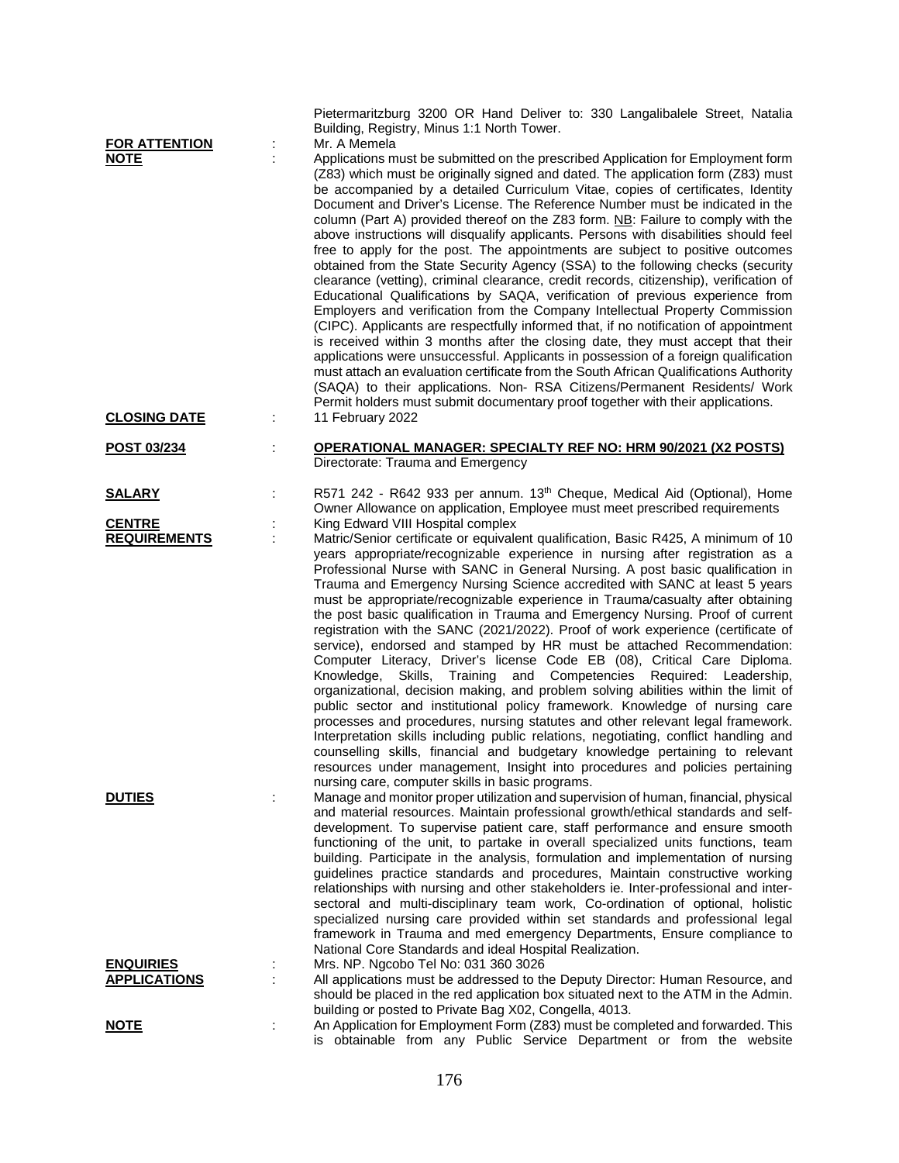| <b>FOR ATTENTION</b><br><b>NOTE</b>     | ĵ, | Pietermaritzburg 3200 OR Hand Deliver to: 330 Langalibalele Street, Natalia<br>Building, Registry, Minus 1:1 North Tower.<br>Mr. A Memela<br>Applications must be submitted on the prescribed Application for Employment form<br>(Z83) which must be originally signed and dated. The application form (Z83) must<br>be accompanied by a detailed Curriculum Vitae, copies of certificates, Identity<br>Document and Driver's License. The Reference Number must be indicated in the<br>column (Part A) provided thereof on the Z83 form. NB: Failure to comply with the<br>above instructions will disqualify applicants. Persons with disabilities should feel<br>free to apply for the post. The appointments are subject to positive outcomes<br>obtained from the State Security Agency (SSA) to the following checks (security<br>clearance (vetting), criminal clearance, credit records, citizenship), verification of<br>Educational Qualifications by SAQA, verification of previous experience from<br>Employers and verification from the Company Intellectual Property Commission<br>(CIPC). Applicants are respectfully informed that, if no notification of appointment<br>is received within 3 months after the closing date, they must accept that their<br>applications were unsuccessful. Applicants in possession of a foreign qualification<br>must attach an evaluation certificate from the South African Qualifications Authority<br>(SAQA) to their applications. Non- RSA Citizens/Permanent Residents/ Work |
|-----------------------------------------|----|----------------------------------------------------------------------------------------------------------------------------------------------------------------------------------------------------------------------------------------------------------------------------------------------------------------------------------------------------------------------------------------------------------------------------------------------------------------------------------------------------------------------------------------------------------------------------------------------------------------------------------------------------------------------------------------------------------------------------------------------------------------------------------------------------------------------------------------------------------------------------------------------------------------------------------------------------------------------------------------------------------------------------------------------------------------------------------------------------------------------------------------------------------------------------------------------------------------------------------------------------------------------------------------------------------------------------------------------------------------------------------------------------------------------------------------------------------------------------------------------------------------------------------------|
| <b>CLOSING DATE</b>                     | ÷  | Permit holders must submit documentary proof together with their applications.<br>11 February 2022                                                                                                                                                                                                                                                                                                                                                                                                                                                                                                                                                                                                                                                                                                                                                                                                                                                                                                                                                                                                                                                                                                                                                                                                                                                                                                                                                                                                                                     |
| POST 03/234                             |    | <b>OPERATIONAL MANAGER: SPECIALTY REF NO: HRM 90/2021 (X2 POSTS)</b><br>Directorate: Trauma and Emergency                                                                                                                                                                                                                                                                                                                                                                                                                                                                                                                                                                                                                                                                                                                                                                                                                                                                                                                                                                                                                                                                                                                                                                                                                                                                                                                                                                                                                              |
| <u>SALARY</u>                           | t  | R571 242 - R642 933 per annum. 13th Cheque, Medical Aid (Optional), Home<br>Owner Allowance on application, Employee must meet prescribed requirements                                                                                                                                                                                                                                                                                                                                                                                                                                                                                                                                                                                                                                                                                                                                                                                                                                                                                                                                                                                                                                                                                                                                                                                                                                                                                                                                                                                 |
| <b>CENTRE</b><br><b>REQUIREMENTS</b>    | ÷  | King Edward VIII Hospital complex<br>Matric/Senior certificate or equivalent qualification, Basic R425, A minimum of 10<br>years appropriate/recognizable experience in nursing after registration as a<br>Professional Nurse with SANC in General Nursing. A post basic qualification in<br>Trauma and Emergency Nursing Science accredited with SANC at least 5 years<br>must be appropriate/recognizable experience in Trauma/casualty after obtaining<br>the post basic qualification in Trauma and Emergency Nursing. Proof of current<br>registration with the SANC (2021/2022). Proof of work experience (certificate of<br>service), endorsed and stamped by HR must be attached Recommendation:<br>Computer Literacy, Driver's license Code EB (08), Critical Care Diploma.<br>Skills, Training and Competencies Required: Leadership,<br>Knowledge,<br>organizational, decision making, and problem solving abilities within the limit of<br>public sector and institutional policy framework. Knowledge of nursing care<br>processes and procedures, nursing statutes and other relevant legal framework.<br>Interpretation skills including public relations, negotiating, conflict handling and<br>counselling skills, financial and budgetary knowledge pertaining to relevant<br>resources under management, Insight into procedures and policies pertaining<br>nursing care, computer skills in basic programs.                                                                                                        |
| <b>DUTIES</b>                           | ÷  | Manage and monitor proper utilization and supervision of human, financial, physical<br>and material resources. Maintain professional growth/ethical standards and self-<br>development. To supervise patient care, staff performance and ensure smooth<br>functioning of the unit, to partake in overall specialized units functions, team<br>building. Participate in the analysis, formulation and implementation of nursing<br>guidelines practice standards and procedures, Maintain constructive working<br>relationships with nursing and other stakeholders ie. Inter-professional and inter-<br>sectoral and multi-disciplinary team work, Co-ordination of optional, holistic<br>specialized nursing care provided within set standards and professional legal<br>framework in Trauma and med emergency Departments, Ensure compliance to<br>National Core Standards and ideal Hospital Realization.                                                                                                                                                                                                                                                                                                                                                                                                                                                                                                                                                                                                                          |
| <b>ENQUIRIES</b><br><b>APPLICATIONS</b> |    | Mrs. NP. Ngcobo Tel No: 031 360 3026<br>All applications must be addressed to the Deputy Director: Human Resource, and<br>should be placed in the red application box situated next to the ATM in the Admin.                                                                                                                                                                                                                                                                                                                                                                                                                                                                                                                                                                                                                                                                                                                                                                                                                                                                                                                                                                                                                                                                                                                                                                                                                                                                                                                           |
| <u>NOTE</u>                             | ÷  | building or posted to Private Bag X02, Congella, 4013.<br>An Application for Employment Form (Z83) must be completed and forwarded. This<br>is obtainable from any Public Service Department or from the website                                                                                                                                                                                                                                                                                                                                                                                                                                                                                                                                                                                                                                                                                                                                                                                                                                                                                                                                                                                                                                                                                                                                                                                                                                                                                                                       |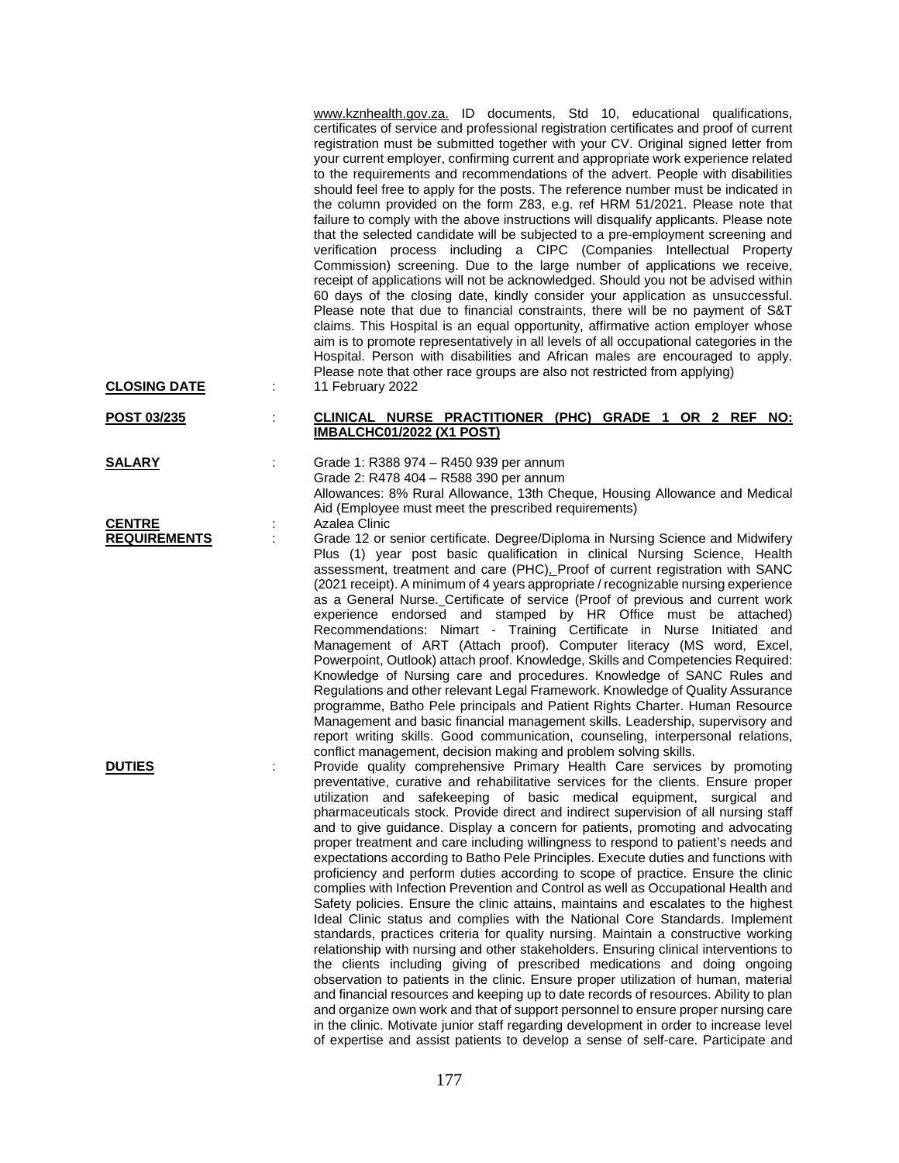[www.kznhealth.gov.za.](http://www.kznhealth.gov.za/) ID documents, Std 10, educational qualifications, certificates of service and professional registration certificates and proof of current registration must be submitted together with your CV. Original signed letter from your current employer, confirming current and appropriate work experience related to the requirements and recommendations of the advert. People with disabilities should feel free to apply for the posts. The reference number must be indicated in the column provided on the form Z83, e.g. ref HRM 51/2021. Please note that failure to comply with the above instructions will disqualify applicants. Please note that the selected candidate will be subjected to a pre-employment screening and verification process including a CIPC (Companies Intellectual Property Commission) screening. Due to the large number of applications we receive, receipt of applications will not be acknowledged. Should you not be advised within 60 days of the closing date, kindly consider your application as unsuccessful. Please note that due to financial constraints, there will be no payment of S&T claims. This Hospital is an equal opportunity, affirmative action employer whose aim is to promote representatively in all levels of all occupational categories in the Hospital. Person with disabilities and African males are encouraged to apply. Please note that other race groups are also not restricted from applying) **CLOSING DATE** : 11 February 2022

## **POST 03/235** : **CLINICAL NURSE PRACTITIONER (PHC) GRADE 1 OR 2 REF NO: IMBALCHC01/2022 (X1 POST)**

**SALARY** : Grade 1: R388 974 – R450 939 per annum Grade 2: R478 404 – R588 390 per annum Allowances: 8% Rural Allowance, 13th Cheque, Housing Allowance and Medical Aid (Employee must meet the prescribed requirements) **CENTRE** : Azalea Clinic

**REQUIREMENTS** : Grade 12 or senior certificate. Degree/Diploma in Nursing Science and Midwifery Plus (1) year post basic qualification in clinical Nursing Science, Health assessment, treatment and care (PHC). Proof of current registration with SANC (2021 receipt). A minimum of 4 years appropriate / recognizable nursing experience as a General Nurse. Certificate of service (Proof of previous and current work experience endorsed and stamped by HR Office must be attached) Recommendations: Nimart - Training Certificate in Nurse Initiated and Management of ART (Attach proof). Computer literacy (MS word, Excel, Powerpoint, Outlook) attach proof. Knowledge, Skills and Competencies Required: Knowledge of Nursing care and procedures. Knowledge of SANC Rules and Regulations and other relevant Legal Framework. Knowledge of Quality Assurance programme, Batho Pele principals and Patient Rights Charter. Human Resource Management and basic financial management skills. Leadership, supervisory and report writing skills. Good communication, counseling, interpersonal relations, conflict management, decision making and problem solving skills.

**DUTIES** : Provide quality comprehensive Primary Health Care services by promoting preventative, curative and rehabilitative services for the clients. Ensure proper utilization and safekeeping of basic medical equipment, surgical and pharmaceuticals stock. Provide direct and indirect supervision of all nursing staff and to give guidance. Display a concern for patients, promoting and advocating proper treatment and care including willingness to respond to patient's needs and expectations according to Batho Pele Principles. Execute duties and functions with proficiency and perform duties according to scope of practice. Ensure the clinic complies with Infection Prevention and Control as well as Occupational Health and Safety policies. Ensure the clinic attains, maintains and escalates to the highest Ideal Clinic status and complies with the National Core Standards. Implement standards, practices criteria for quality nursing. Maintain a constructive working relationship with nursing and other stakeholders. Ensuring clinical interventions to the clients including giving of prescribed medications and doing ongoing observation to patients in the clinic. Ensure proper utilization of human, material and financial resources and keeping up to date records of resources. Ability to plan and organize own work and that of support personnel to ensure proper nursing care in the clinic. Motivate junior staff regarding development in order to increase level of expertise and assist patients to develop a sense of self-care. Participate and